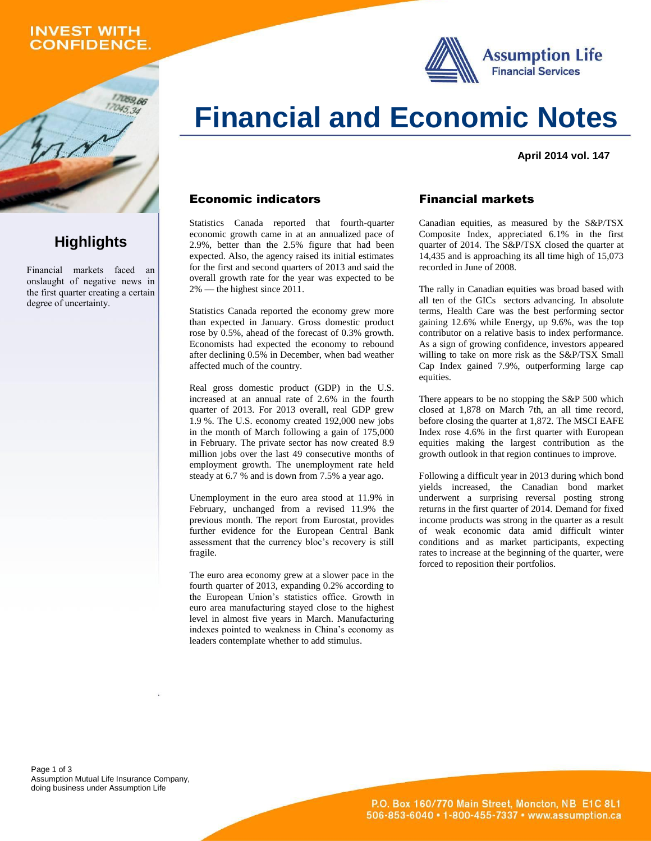## **INVEST WITH ONFIDENCE.**

059,66

**Highlights**

Financial markets faced an onslaught of negative news in the first quarter creating a certain

degree of uncertainty.





**April 2014 vol. 147**

#### Economic indicators

Statistics Canada reported that fourth-quarter economic growth came in at an annualized pace of 2.9%, better than the 2.5% figure that had been expected. Also, the agency raised its initial estimates for the first and second quarters of 2013 and said the overall growth rate for the year was expected to be 2% — the highest since 2011.

Statistics Canada reported the economy grew more than expected in January. Gross domestic product rose by 0.5%, ahead of the forecast of 0.3% growth. Economists had expected the economy to rebound after declining 0.5% in December, when bad weather affected much of the country.

Real gross domestic product (GDP) in the U.S. increased at an annual rate of 2.6% in the fourth quarter of 2013. For 2013 overall, real GDP grew 1.9 %. The U.S. economy created 192,000 new jobs in the month of March following a gain of 175,000 in February. The private sector has now created 8.9 million jobs over the last 49 consecutive months of employment growth. The unemployment rate held steady at 6.7 % and is down from 7.5% a year ago.

Unemployment in the euro area stood at 11.9% in February, unchanged from a revised 11.9% the previous month. The report from Eurostat, provides further evidence for the European Central Bank assessment that the currency bloc's recovery is still fragile.

The euro area economy grew at a slower pace in the fourth quarter of 2013, expanding 0.2% according to the European Union's statistics office. Growth in euro area manufacturing stayed close to the highest level in almost five years in March. Manufacturing indexes pointed to weakness in China's economy as leaders contemplate whether to add stimulus.

#### Financial markets

Canadian equities, as measured by the S&P/TSX Composite Index, appreciated 6.1% in the first quarter of 2014. The S&P/TSX closed the quarter at 14,435 and is approaching its all time high of 15,073 recorded in June of 2008.

The rally in Canadian equities was broad based with all ten of the GICs sectors advancing. In absolute terms, Health Care was the best performing sector gaining 12.6% while Energy, up 9.6%, was the top contributor on a relative basis to index performance. As a sign of growing confidence, investors appeared willing to take on more risk as the S&P/TSX Small Cap Index gained 7.9%, outperforming large cap equities.

There appears to be no stopping the S&P 500 which closed at 1,878 on March 7th, an all time record, before closing the quarter at 1,872. The MSCI EAFE Index rose 4.6% in the first quarter with European equities making the largest contribution as the growth outlook in that region continues to improve.

Following a difficult year in 2013 during which bond yields increased, the Canadian bond market underwent a surprising reversal posting strong returns in the first quarter of 2014. Demand for fixed income products was strong in the quarter as a result of weak economic data amid difficult winter conditions and as market participants, expecting rates to increase at the beginning of the quarter, were forced to reposition their portfolios.

Page 1 of 3 Assumption Mutual Life Insurance Company, doing business under Assumption Life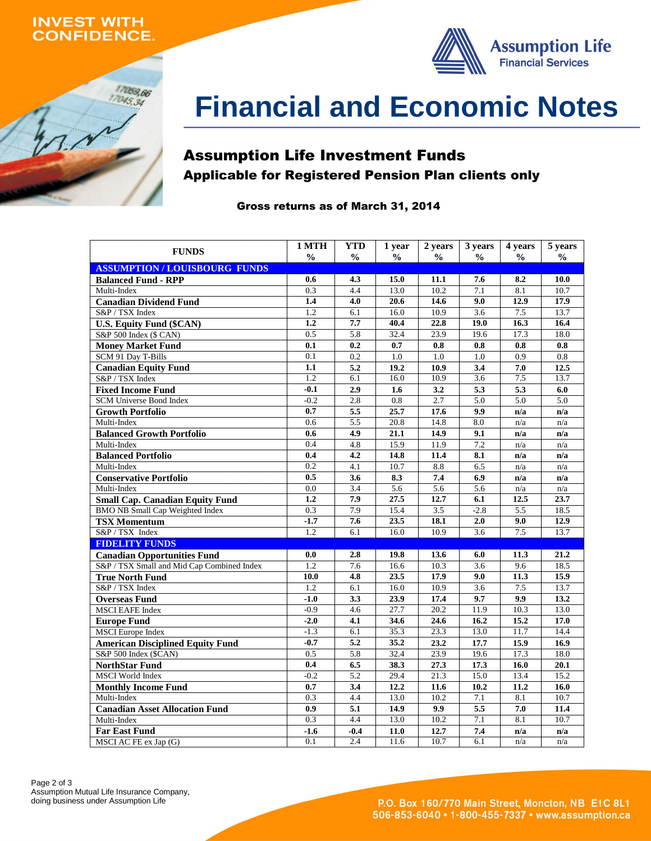### **INVEST WITH ONFIDENCE.**





# **Financial and Economic Notes**

# Assumption Life Investment Funds Applicable for Registered Pension Plan clients only

#### Gross returns as of March 31, 2014

| <b>FUNDS</b>                               | 1 MTH         | <b>YTD</b>    | 1 year            | 2 years       | 3 years          | 4 years          | 5 years       |
|--------------------------------------------|---------------|---------------|-------------------|---------------|------------------|------------------|---------------|
|                                            | $\frac{0}{0}$ | $\frac{0}{0}$ | $\frac{0}{0}$     | $\frac{0}{0}$ | $\frac{0}{0}$    | $\frac{0}{0}$    | $\frac{0}{0}$ |
| <b>ASSUMPTION / LOUISBOURG FUNDS</b>       |               |               |                   |               |                  |                  |               |
| <b>Balanced Fund - RPP</b>                 | 0.6           | 4.3           | 15.0              | 11.1          | 7.6              | 8.2              | 10.0          |
| Multi-Index                                | 0.3           | 4.4           | 13.0              | 10.2          | 7.1              | 8.1              | 10.7          |
| <b>Canadian Dividend Fund</b>              | 1.4           | 4.0           | 20.6              | 14.6          | 9.0              | 12.9             | 17.9          |
| S&P / TSX Index                            | 1.2           | 6.1           | 16.0              | 10.9          | 3.6              | 7.5              | 13.7          |
| <b>U.S. Equity Fund (\$CAN)</b>            | 1.2           | 7.7           | 40.4              | 22.8          | 19.0             | 16.3             | 16.4          |
| S&P 500 Index (\$ CAN)                     | 0.5           | 5.8           | 32.4              | 23.9          | 19.6             | 17.3             | 18.0          |
| <b>Money Market Fund</b>                   | 0.1           | 0.2           | 0.7               | 0.8           | 0.8              | 0.8              | 0.8           |
| SCM 91 Day T-Bills                         | 0.1           | 0.2           | 1.0               | 1.0           | 1.0              | 0.9              | 0.8           |
| <b>Canadian Equity Fund</b>                | 1.1           | 5.2           | 19.2              | 10.9          | 3.4              | 7.0              | 12.5          |
| S&P / TSX Index                            | 1.2           | 6.1           | 16.0              | 10.9          | 3.6              | 7.5              | 13.7          |
| <b>Fixed Income Fund</b>                   | $-0.1$        | 2.9           | 1.6               | 3.2           | 5.3              | 5.3              | 6.0           |
| <b>SCM Universe Bond Index</b>             | $-0.2$        | 2.8           | 0.8               | 2.7           | 5.0              | 5.0              | 5.0           |
| <b>Growth Portfolio</b>                    | 0.7           | 5.5           | 25.7              | 17.6          | 9.9              | n/a              | n/a           |
| Multi-Index                                | 0.6           | 5.5           | 20.8              | 14.8          | 8.0              | n/a              | n/a           |
| <b>Balanced Growth Portfolio</b>           | 0.6           | 4.9           | 21.1              | 14.9          | 9.1              | n/a              | n/a           |
| Multi-Index                                | 0.4           | 4.8           | 15.9              | 11.9          | 7.2              | n/a              | n/a           |
| <b>Balanced Portfolio</b>                  | 0.4           | 4.2           | 14.8              | 11.4          | 8.1              | n/a              | n/a           |
| Multi-Index                                | 0.2           | 4.1           | 10.7              | 8.8           | 6.5              | n/a              | n/a           |
| <b>Conservative Portfolio</b>              | 0.5           | 3.6           | 8.3               | 7.4           | 6.9              | n/a              | n/a           |
| Multi-Index                                | 0.0           | 3.4           | 5.6               | 5.6           | $\overline{5.6}$ | n/a              | n/a           |
| <b>Small Cap. Canadian Equity Fund</b>     | 1.2           | 7.9           | 27.5              | 12.7          | 6.1              | 12.5             | 23.7          |
| <b>BMO NB Small Cap Weighted Index</b>     | 0.3           | 7.9           | 15.4              | 3.5           | $-2.8$           | 5.5              | 18.5          |
| <b>TSX Momentum</b>                        | $-1.7$        | 7.6           | 23.5              | 18.1          | 2.0              | 9.0              | 12.9          |
| S&P / TSX Index                            | 1.2           | 6.1           | 16.0              | 10.9          | 3.6              | 7.5              | 13.7          |
| <b>FIDELITY FUNDS</b>                      |               |               |                   |               |                  |                  |               |
| <b>Canadian Opportunities Fund</b>         | 0.0           | 2.8           | 19.8              | 13.6          | 6.0              | 11.3             | 21.2          |
| S&P / TSX Small and Mid Cap Combined Index | 1.2           | 7.6           | 16.6              | 10.3          | 3.6              | 9.6              | 18.5          |
| <b>True North Fund</b>                     | 10.0          | 4.8           | 23.5              | 17.9          | 9.0              | 11.3             | 15.9          |
| S&P / TSX Index                            | 1.2           | 6.1           | 16.0              | 10.9          | 3.6              | 7.5              | 13.7          |
| <b>Overseas Fund</b>                       | $-1.0$        | 3.3           | 23.9              | 17.4          | 9.7              | 9.9              | 13.2          |
| <b>MSCI EAFE Index</b>                     | $-0.9$        | 4.6           | $\overline{27.7}$ | 20.2          | 11.9             | 10.3             | 13.0          |
| <b>Europe Fund</b>                         | $-2.0$        | 4.1           | 34.6              | 24.6          | 16.2             | 15.2             | 17.0          |
| <b>MSCI</b> Europe Index                   | $-1.3$        | 6.1           | 35.3              | 23.3          | 13.0             | 11.7             | 14.4          |
| <b>American Disciplined Equity Fund</b>    | $-0.7$        | 5.2           | 35.2              | 23.2          | 17.7             | 15.9             | 16.9          |
| S&P 500 Index (\$CAN)                      | 0.5           | 5.8           | 32.4              | 23.9          | 19.6             | 17.3             | 18.0          |
| <b>NorthStar Fund</b>                      | 0.4           | 6.5           | 38.3              | 27.3          | 17.3             | 16.0             | 20.1          |
| <b>MSCI</b> World Index                    | $-0.2$        | 5.2           | 29.4              | 21.3          | 15.0             | 13.4             | 15.2          |
| <b>Monthly Income Fund</b>                 | 0.7           | 3.4           | 12.2              | 11.6          | 10.2             | 11.2             | 16.0          |
| Multi-Index                                | 0.3           | 4.4           | 13.0              | 10.2          | 7.1              | 8.1              | 10.7          |
| <b>Canadian Asset Allocation Fund</b>      | 0.9           | 5.1           | 14.9              | 9.9           | 5.5              | 7.0              | 11.4          |
| Multi-Index                                | 0.3           | 4.4           | 13.0              | 10.2          | 7.1              | $\overline{8.1}$ | 10.7          |
| <b>Far East Fund</b>                       | $-1.6$        | $-0.4$        | 11.0              | 12.7          | 7.4              | n/a              | n/a           |
| MSCI AC FE ex Jap (G)                      | 0.1           | 2.4           | 11.6              | 10.7          | 6.1              | n/a              | n/a           |